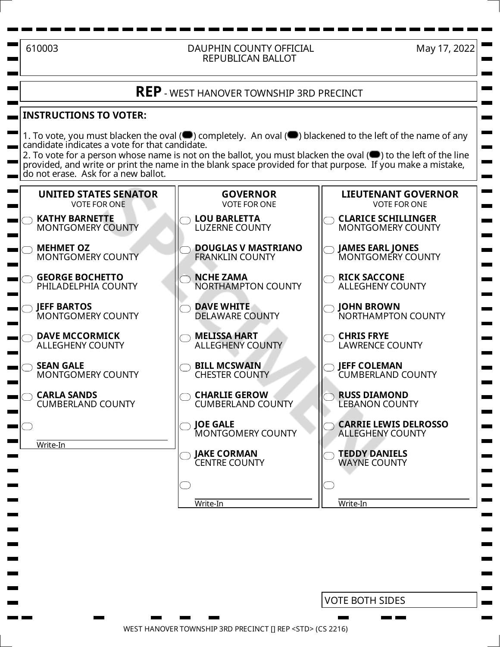## 610003 DAUPHIN COUNTY OFFICIAL REPUBLICAN BALLOT

May 17, 2022

## **REP** - WEST HANOVER TOWNSHIP 3RD PRECINCT

## **INSTRUCTIONS TO VOTER:**

1. To vote, you must blacken the oval ( $\bullet$ ) completely. An oval ( $\bullet$ ) blackened to the left of the name of any candidate indicates a vote for that candidate.

2. To vote for a person whose name is not on the ballot, you must blacken the oval  $($ **)** to the left of the line provided, and write or print the name in the blank space provided for that purpose. If you make a mistake, do not erase. Ask for a new ballot.



VOTE BOTH SIDES